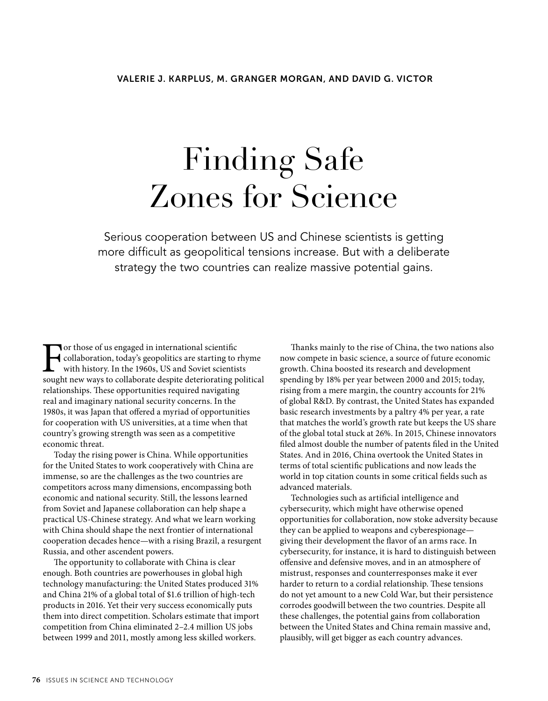# Finding Safe Zones for Science

Serious cooperation between US and Chinese scientists is getting more difficult as geopolitical tensions increase. But with a deliberate strategy the two countries can realize massive potential gains.

For those of us engaged in international scientific<br>collaboration, today's geopolitics are starting to 1<br>with history. In the 1960s, US and Soviet scientis<br>sought new ways to collaborate despite deteriorating p collaboration, today's geopolitics are starting to rhyme with history. In the 1960s, US and Soviet scientists sought new ways to collaborate despite deteriorating political relationships. These opportunities required navigating real and imaginary national security concerns. In the 1980s, it was Japan that offered a myriad of opportunities for cooperation with US universities, at a time when that country's growing strength was seen as a competitive economic threat.

Today the rising power is China. While opportunities for the United States to work cooperatively with China are immense, so are the challenges as the two countries are competitors across many dimensions, encompassing both economic and national security. Still, the lessons learned from Soviet and Japanese collaboration can help shape a practical US-Chinese strategy. And what we learn working with China should shape the next frontier of international cooperation decades hence—with a rising Brazil, a resurgent Russia, and other ascendent powers.

The opportunity to collaborate with China is clear enough. Both countries are powerhouses in global high technology manufacturing: the United States produced 31% and China 21% of a global total of \$1.6 trillion of high-tech products in 2016. Yet their very success economically puts them into direct competition. Scholars estimate that import competition from China eliminated 2–2.4 million US jobs between 1999 and 2011, mostly among less skilled workers.

Thanks mainly to the rise of China, the two nations also now compete in basic science, a source of future economic growth. China boosted its research and development spending by 18% per year between 2000 and 2015; today, rising from a mere margin, the country accounts for 21% of global R&D. By contrast, the United States has expanded basic research investments by a paltry 4% per year, a rate that matches the world's growth rate but keeps the US share of the global total stuck at 26%. In 2015, Chinese innovators filed almost double the number of patents filed in the United States. And in 2016, China overtook the United States in terms of total scientific publications and now leads the world in top citation counts in some critical fields such as advanced materials.

Technologies such as artificial intelligence and cybersecurity, which might have otherwise opened opportunities for collaboration, now stoke adversity because they can be applied to weapons and cyberespionage giving their development the flavor of an arms race. In cybersecurity, for instance, it is hard to distinguish between offensive and defensive moves, and in an atmosphere of mistrust, responses and counterresponses make it ever harder to return to a cordial relationship. These tensions do not yet amount to a new Cold War, but their persistence corrodes goodwill between the two countries. Despite all these challenges, the potential gains from collaboration between the United States and China remain massive and, plausibly, will get bigger as each country advances.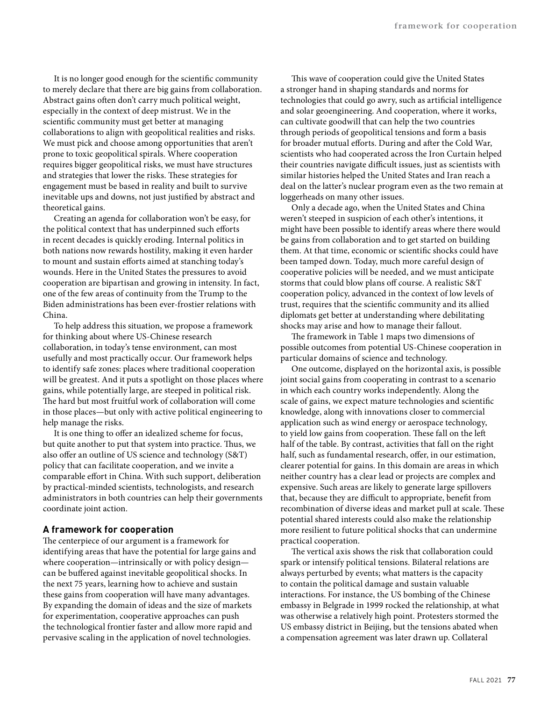It is no longer good enough for the scientific community to merely declare that there are big gains from collaboration. Abstract gains often don't carry much political weight, especially in the context of deep mistrust. We in the scientific community must get better at managing collaborations to align with geopolitical realities and risks. We must pick and choose among opportunities that aren't prone to toxic geopolitical spirals. Where cooperation requires bigger geopolitical risks, we must have structures and strategies that lower the risks. These strategies for engagement must be based in reality and built to survive inevitable ups and downs, not just justified by abstract and theoretical gains.

Creating an agenda for collaboration won't be easy, for the political context that has underpinned such efforts in recent decades is quickly eroding. Internal politics in both nations now rewards hostility, making it even harder to mount and sustain efforts aimed at stanching today's wounds. Here in the United States the pressures to avoid cooperation are bipartisan and growing in intensity. In fact, one of the few areas of continuity from the Trump to the Biden administrations has been ever-frostier relations with China.

To help address this situation, we propose a framework for thinking about where US-Chinese research collaboration, in today's tense environment, can most usefully and most practically occur. Our framework helps to identify safe zones: places where traditional cooperation will be greatest. And it puts a spotlight on those places where gains, while potentially large, are steeped in political risk. The hard but most fruitful work of collaboration will come in those places—but only with active political engineering to help manage the risks.

It is one thing to offer an idealized scheme for focus, but quite another to put that system into practice. Thus, we also offer an outline of US science and technology (S&T) policy that can facilitate cooperation, and we invite a comparable effort in China. With such support, deliberation by practical-minded scientists, technologists, and research administrators in both countries can help their governments coordinate joint action.

#### **A framework for cooperation**

The centerpiece of our argument is a framework for identifying areas that have the potential for large gains and where cooperation—intrinsically or with policy design can be buffered against inevitable geopolitical shocks. In the next 75 years, learning how to achieve and sustain these gains from cooperation will have many advantages. By expanding the domain of ideas and the size of markets for experimentation, cooperative approaches can push the technological frontier faster and allow more rapid and pervasive scaling in the application of novel technologies.

This wave of cooperation could give the United States a stronger hand in shaping standards and norms for technologies that could go awry, such as artificial intelligence and solar geoengineering. And cooperation, where it works, can cultivate goodwill that can help the two countries through periods of geopolitical tensions and form a basis for broader mutual efforts. During and after the Cold War, scientists who had cooperated across the Iron Curtain helped their countries navigate difficult issues, just as scientists with similar histories helped the United States and Iran reach a deal on the latter's nuclear program even as the two remain at loggerheads on many other issues.

Only a decade ago, when the United States and China weren't steeped in suspicion of each other's intentions, it might have been possible to identify areas where there would be gains from collaboration and to get started on building them. At that time, economic or scientific shocks could have been tamped down. Today, much more careful design of cooperative policies will be needed, and we must anticipate storms that could blow plans off course. A realistic S&T cooperation policy, advanced in the context of low levels of trust, requires that the scientific community and its allied diplomats get better at understanding where debilitating shocks may arise and how to manage their fallout.

The framework in Table 1 maps two dimensions of possible outcomes from potential US-Chinese cooperation in particular domains of science and technology.

One outcome, displayed on the horizontal axis, is possible joint social gains from cooperating in contrast to a scenario in which each country works independently. Along the scale of gains, we expect mature technologies and scientific knowledge, along with innovations closer to commercial application such as wind energy or aerospace technology, to yield low gains from cooperation. These fall on the left half of the table. By contrast, activities that fall on the right half, such as fundamental research, offer, in our estimation, clearer potential for gains. In this domain are areas in which neither country has a clear lead or projects are complex and expensive. Such areas are likely to generate large spillovers that, because they are difficult to appropriate, benefit from recombination of diverse ideas and market pull at scale. These potential shared interests could also make the relationship more resilient to future political shocks that can undermine practical cooperation.

The vertical axis shows the risk that collaboration could spark or intensify political tensions. Bilateral relations are always perturbed by events; what matters is the capacity to contain the political damage and sustain valuable interactions. For instance, the US bombing of the Chinese embassy in Belgrade in 1999 rocked the relationship, at what was otherwise a relatively high point. Protesters stormed the US embassy district in Beijing, but the tensions abated when a compensation agreement was later drawn up. Collateral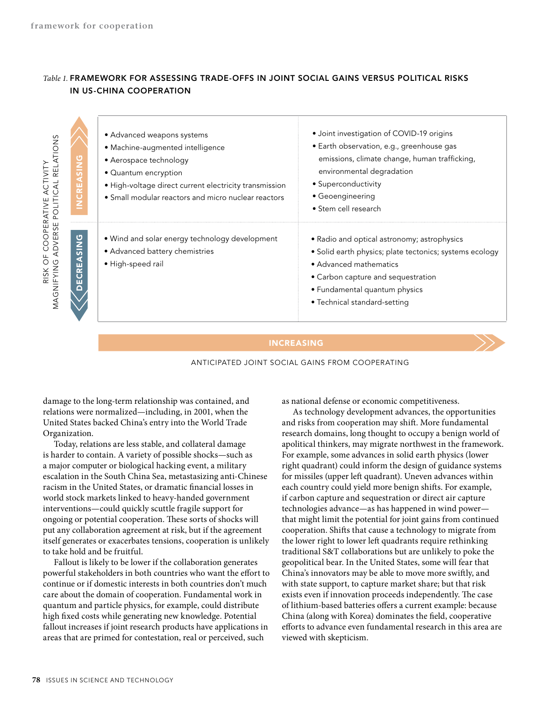# *Table 1.* **FRAMEWORK FOR ASSESSING TRADE-OFFS IN JOINT SOCIAL GAINS VERSUS POLITICAL RISKS IN US-CHINA COOPERATION**

| RELATIONS<br><b>ACTIVIT</b><br>OPERATIVE<br>POLI                                    | · Advanced weapons systems<br>• Machine-augmented intelligence<br>• Aerospace technology<br>• Quantum encryption<br>· High-voltage direct current electricity transmission<br>• Small modular reactors and micro nuclear reactors | • Joint investigation of COVID-19 origins<br>· Earth observation, e.g., greenhouse gas<br>emissions, climate change, human trafficking,<br>environmental degradation<br>• Superconductivity<br>• Geoengineering<br>• Stem cell research |
|-------------------------------------------------------------------------------------|-----------------------------------------------------------------------------------------------------------------------------------------------------------------------------------------------------------------------------------|-----------------------------------------------------------------------------------------------------------------------------------------------------------------------------------------------------------------------------------------|
| DVERSE<br>ASING<br>O<br>$\cup$<br>$\circ$<br>MAGNIFYING<br>CRE.<br><b>RISK</b><br>ш | • Wind and solar energy technology development<br>• Advanced battery chemistries<br>· High-speed rail                                                                                                                             | • Radio and optical astronomy; astrophysics<br>· Solid earth physics; plate tectonics; systems ecology<br>• Advanced mathematics<br>• Carbon capture and sequestration<br>• Fundamental quantum physics<br>• Technical standard-setting |

#### INCREASING



damage to the long-term relationship was contained, and relations were normalized—including, in 2001, when the United States backed China's entry into the World Trade Organization.

Today, relations are less stable, and collateral damage is harder to contain. A variety of possible shocks—such as a major computer or biological hacking event, a military escalation in the South China Sea, metastasizing anti-Chinese racism in the United States, or dramatic financial losses in world stock markets linked to heavy-handed government interventions—could quickly scuttle fragile support for ongoing or potential cooperation. These sorts of shocks will put any collaboration agreement at risk, but if the agreement itself generates or exacerbates tensions, cooperation is unlikely to take hold and be fruitful.

Fallout is likely to be lower if the collaboration generates powerful stakeholders in both countries who want the effort to continue or if domestic interests in both countries don't much care about the domain of cooperation. Fundamental work in quantum and particle physics, for example, could distribute high fixed costs while generating new knowledge. Potential fallout increases if joint research products have applications in areas that are primed for contestation, real or perceived, such

as national defense or economic competitiveness.

As technology development advances, the opportunities and risks from cooperation may shift. More fundamental research domains, long thought to occupy a benign world of apolitical thinkers, may migrate northwest in the framework. For example, some advances in solid earth physics (lower right quadrant) could inform the design of guidance systems for missiles (upper left quadrant). Uneven advances within each country could yield more benign shifts. For example, if carbon capture and sequestration or direct air capture technologies advance—as has happened in wind power that might limit the potential for joint gains from continued cooperation. Shifts that cause a technology to migrate from the lower right to lower left quadrants require rethinking traditional S&T collaborations but are unlikely to poke the geopolitical bear. In the United States, some will fear that China's innovators may be able to move more swiftly, and with state support, to capture market share; but that risk exists even if innovation proceeds independently. The case of lithium-based batteries offers a current example: because China (along with Korea) dominates the field, cooperative efforts to advance even fundamental research in this area are viewed with skepticism.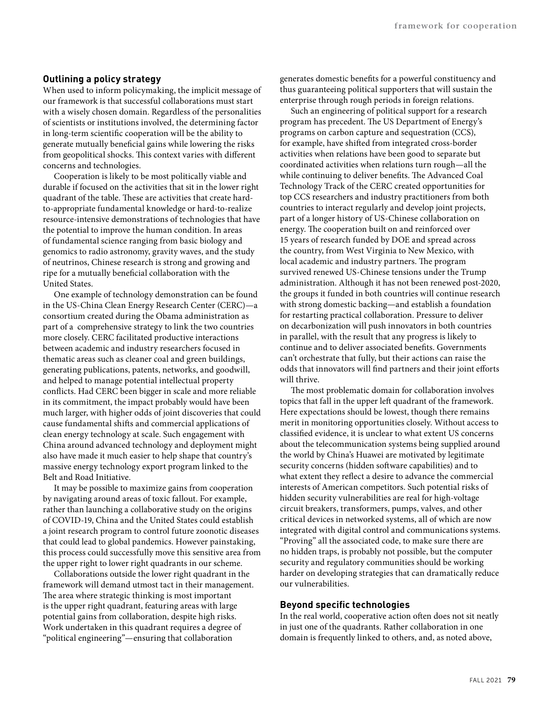# **Outlining a policy strategy**

When used to inform policymaking, the implicit message of our framework is that successful collaborations must start with a wisely chosen domain. Regardless of the personalities of scientists or institutions involved, the determining factor in long-term scientific cooperation will be the ability to generate mutually beneficial gains while lowering the risks from geopolitical shocks. This context varies with different concerns and technologies.

Cooperation is likely to be most politically viable and durable if focused on the activities that sit in the lower right quadrant of the table. These are activities that create hardto-appropriate fundamental knowledge or hard-to-realize resource-intensive demonstrations of technologies that have the potential to improve the human condition. In areas of fundamental science ranging from basic biology and genomics to radio astronomy, gravity waves, and the study of neutrinos, Chinese research is strong and growing and ripe for a mutually beneficial collaboration with the United States.

One example of technology demonstration can be found in the US-China Clean Energy Research Center (CERC)—a consortium created during the Obama administration as part of a comprehensive strategy to link the two countries more closely. CERC facilitated productive interactions between academic and industry researchers focused in thematic areas such as cleaner coal and green buildings, generating publications, patents, networks, and goodwill, and helped to manage potential intellectual property conflicts. Had CERC been bigger in scale and more reliable in its commitment, the impact probably would have been much larger, with higher odds of joint discoveries that could cause fundamental shifts and commercial applications of clean energy technology at scale. Such engagement with China around advanced technology and deployment might also have made it much easier to help shape that country's massive energy technology export program linked to the Belt and Road Initiative.

It may be possible to maximize gains from cooperation by navigating around areas of toxic fallout. For example, rather than launching a collaborative study on the origins of COVID-19, China and the United States could establish a joint research program to control future zoonotic diseases that could lead to global pandemics. However painstaking, this process could successfully move this sensitive area from the upper right to lower right quadrants in our scheme.

Collaborations outside the lower right quadrant in the framework will demand utmost tact in their management. The area where strategic thinking is most important is the upper right quadrant, featuring areas with large potential gains from collaboration, despite high risks. Work undertaken in this quadrant requires a degree of "political engineering"—ensuring that collaboration

generates domestic benefits for a powerful constituency and thus guaranteeing political supporters that will sustain the enterprise through rough periods in foreign relations.

Such an engineering of political support for a research program has precedent. The US Department of Energy's programs on carbon capture and sequestration (CCS), for example, have shifted from integrated cross-border activities when relations have been good to separate but coordinated activities when relations turn rough—all the while continuing to deliver benefits. The Advanced Coal Technology Track of the CERC created opportunities for top CCS researchers and industry practitioners from both countries to interact regularly and develop joint projects, part of a longer history of US-Chinese collaboration on energy. The cooperation built on and reinforced over 15 years of research funded by DOE and spread across the country, from West Virginia to New Mexico, with local academic and industry partners. The program survived renewed US-Chinese tensions under the Trump administration. Although it has not been renewed post-2020, the groups it funded in both countries will continue research with strong domestic backing—and establish a foundation for restarting practical collaboration. Pressure to deliver on decarbonization will push innovators in both countries in parallel, with the result that any progress is likely to continue and to deliver associated benefits. Governments can't orchestrate that fully, but their actions can raise the odds that innovators will find partners and their joint efforts will thrive.

The most problematic domain for collaboration involves topics that fall in the upper left quadrant of the framework. Here expectations should be lowest, though there remains merit in monitoring opportunities closely. Without access to classified evidence, it is unclear to what extent US concerns about the telecommunication systems being supplied around the world by China's Huawei are motivated by legitimate security concerns (hidden software capabilities) and to what extent they reflect a desire to advance the commercial interests of American competitors. Such potential risks of hidden security vulnerabilities are real for high-voltage circuit breakers, transformers, pumps, valves, and other critical devices in networked systems, all of which are now integrated with digital control and communications systems. "Proving" all the associated code, to make sure there are no hidden traps, is probably not possible, but the computer security and regulatory communities should be working harder on developing strategies that can dramatically reduce our vulnerabilities.

# **Beyond specific technologies**

In the real world, cooperative action often does not sit neatly in just one of the quadrants. Rather collaboration in one domain is frequently linked to others, and, as noted above,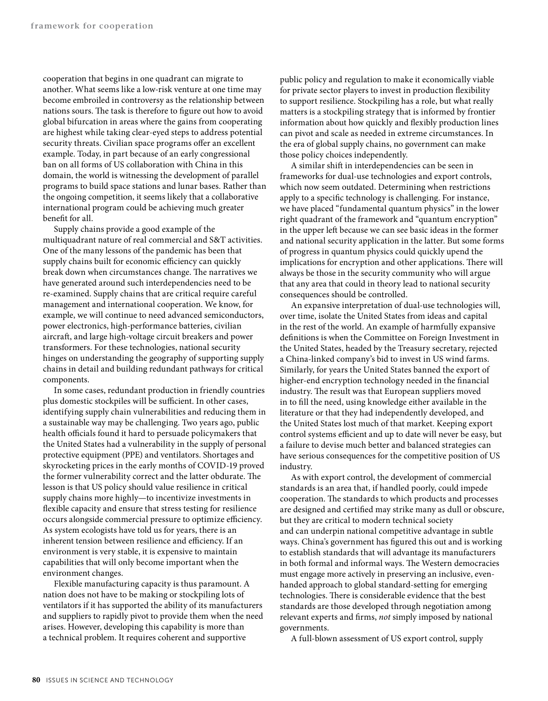cooperation that begins in one quadrant can migrate to another. What seems like a low-risk venture at one time may become embroiled in controversy as the relationship between nations sours. The task is therefore to figure out how to avoid global bifurcation in areas where the gains from cooperating are highest while taking clear-eyed steps to address potential security threats. Civilian space programs offer an excellent example. Today, in part because of an early congressional ban on all forms of US collaboration with China in this domain, the world is witnessing the development of parallel programs to build space stations and lunar bases. Rather than the ongoing competition, it seems likely that a collaborative international program could be achieving much greater benefit for all.

Supply chains provide a good example of the multiquadrant nature of real commercial and S&T activities. One of the many lessons of the pandemic has been that supply chains built for economic efficiency can quickly break down when circumstances change. The narratives we have generated around such interdependencies need to be re-examined. Supply chains that are critical require careful management and international cooperation. We know, for example, we will continue to need advanced semiconductors, power electronics, high-performance batteries, civilian aircraft, and large high-voltage circuit breakers and power transformers. For these technologies, national security hinges on understanding the geography of supporting supply chains in detail and building redundant pathways for critical components.

In some cases, redundant production in friendly countries plus domestic stockpiles will be sufficient. In other cases, identifying supply chain vulnerabilities and reducing them in a sustainable way may be challenging. Two years ago, public health officials found it hard to persuade policymakers that the United States had a vulnerability in the supply of personal protective equipment (PPE) and ventilators. Shortages and skyrocketing prices in the early months of COVID-19 proved the former vulnerability correct and the latter obdurate. The lesson is that US policy should value resilience in critical supply chains more highly—to incentivize investments in flexible capacity and ensure that stress testing for resilience occurs alongside commercial pressure to optimize efficiency. As system ecologists have told us for years, there is an inherent tension between resilience and efficiency. If an environment is very stable, it is expensive to maintain capabilities that will only become important when the environment changes.

Flexible manufacturing capacity is thus paramount. A nation does not have to be making or stockpiling lots of ventilators if it has supported the ability of its manufacturers and suppliers to rapidly pivot to provide them when the need arises. However, developing this capability is more than a technical problem. It requires coherent and supportive

public policy and regulation to make it economically viable for private sector players to invest in production flexibility to support resilience. Stockpiling has a role, but what really matters is a stockpiling strategy that is informed by frontier information about how quickly and flexibly production lines can pivot and scale as needed in extreme circumstances. In the era of global supply chains, no government can make those policy choices independently.

A similar shift in interdependencies can be seen in frameworks for dual-use technologies and export controls, which now seem outdated. Determining when restrictions apply to a specific technology is challenging. For instance, we have placed "fundamental quantum physics" in the lower right quadrant of the framework and "quantum encryption" in the upper left because we can see basic ideas in the former and national security application in the latter. But some forms of progress in quantum physics could quickly upend the implications for encryption and other applications. There will always be those in the security community who will argue that any area that could in theory lead to national security consequences should be controlled.

An expansive interpretation of dual-use technologies will, over time, isolate the United States from ideas and capital in the rest of the world. An example of harmfully expansive definitions is when the Committee on Foreign Investment in the United States, headed by the Treasury secretary, rejected a China-linked company's bid to invest in US wind farms. Similarly, for years the United States banned the export of higher-end encryption technology needed in the financial industry. The result was that European suppliers moved in to fill the need, using knowledge either available in the literature or that they had independently developed, and the United States lost much of that market. Keeping export control systems efficient and up to date will never be easy, but a failure to devise much better and balanced strategies can have serious consequences for the competitive position of US industry.

As with export control, the development of commercial standards is an area that, if handled poorly, could impede cooperation. The standards to which products and processes are designed and certified may strike many as dull or obscure, but they are critical to modern technical society and can underpin national competitive advantage in subtle ways. China's government has figured this out and is working to establish standards that will advantage its manufacturers in both formal and informal ways. The Western democracies must engage more actively in preserving an inclusive, evenhanded approach to global standard-setting for emerging technologies. There is considerable evidence that the best standards are those developed through negotiation among relevant experts and firms, *not* simply imposed by national governments.

A full-blown assessment of US export control, supply